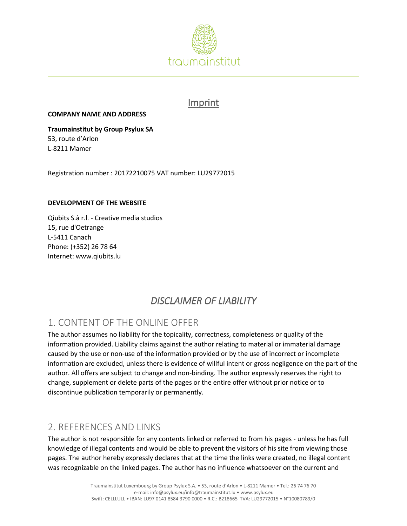

### Imprint

#### **COMPANY NAME AND ADDRESS**

**Traumainstitut by Group Psylux SA**  53, route d'Arlon L-8211 Mamer

Registration number : 20172210075 VAT number: LU29772015

#### **DEVELOPMENT OF THE WEBSITE**

Qiubits S.à r.l. - Creative media studios 15, rue d'Oetrange L-5411 Canach Phone: (+352) 26 78 64 Internet: www.qiubits.lu

# *DISCLAIMER OF LIABILITY*

# 1. CONTENT OF THE ONLINE OFFER

The author assumes no liability for the topicality, correctness, completeness or quality of the information provided. Liability claims against the author relating to material or immaterial damage caused by the use or non-use of the information provided or by the use of incorrect or incomplete information are excluded, unless there is evidence of willful intent or gross negligence on the part of the author. All offers are subject to change and non-binding. The author expressly reserves the right to change, supplement or delete parts of the pages or the entire offer without prior notice or to discontinue publication temporarily or permanently.

### 2. REFERENCES AND LINKS

The author is not responsible for any contents linked or referred to from his pages - unless he has full knowledge of illegal contents and would be able to prevent the visitors of his site from viewing those pages. The author hereby expressly declares that at the time the links were created, no illegal content was recognizable on the linked pages. The author has no influence whatsoever on the current and